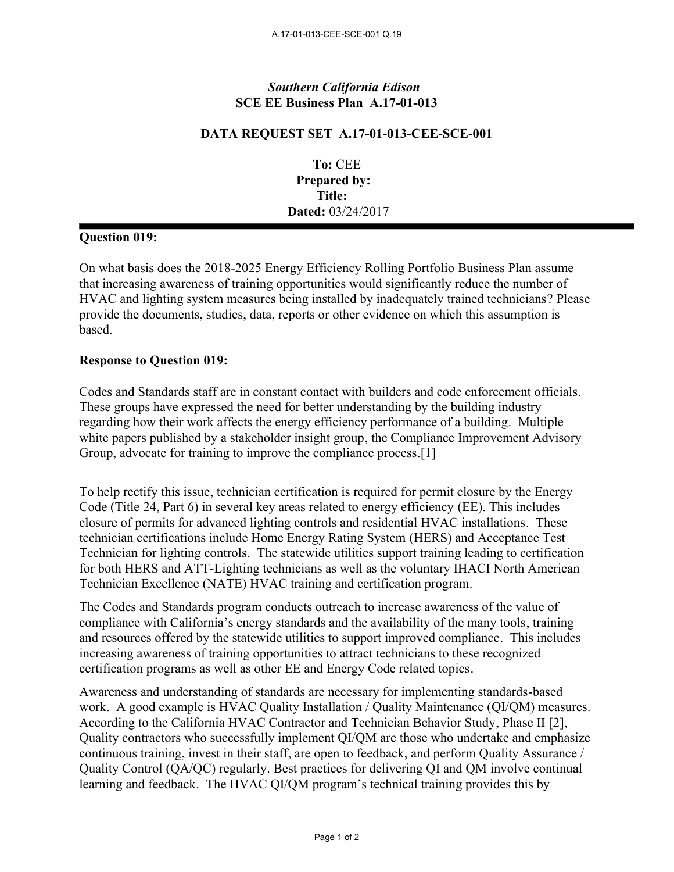## *Southern California Edison* **SCE EE Business Plan A.17-01-013**

## **DATA REQUEST SET A.17-01-013-CEE-SCE-001**

**To:** CEE **Prepared by: Title: Dated:** 03/24/2017

## **Question 019:**

On what basis does the 2018-2025 Energy Efficiency Rolling Portfolio Business Plan assume that increasing awareness of training opportunities would significantly reduce the number of HVAC and lighting system measures being installed by inadequately trained technicians? Please provide the documents, studies, data, reports or other evidence on which this assumption is based.

## **Response to Question 019:**

Codes and Standards staff are in constant contact with builders and code enforcement officials. These groups have expressed the need for better understanding by the building industry regarding how their work affects the energy efficiency performance of a building. Multiple white papers published by a stakeholder insight group, the Compliance Improvement Advisory Group, advocate for training to improve the compliance process.[1]

To help rectify this issue, technician certification is required for permit closure by the Energy Code (Title 24, Part 6) in several key areas related to energy efficiency (EE). This includes closure of permits for advanced lighting controls and residential HVAC installations. These technician certifications include Home Energy Rating System (HERS) and Acceptance Test Technician for lighting controls. The statewide utilities support training leading to certification for both HERS and ATT-Lighting technicians as well as the voluntary IHACI North American Technician Excellence (NATE) HVAC training and certification program.

The Codes and Standards program conducts outreach to increase awareness of the value of compliance with California's energy standards and the availability of the many tools, training and resources offered by the statewide utilities to support improved compliance. This includes increasing awareness of training opportunities to attract technicians to these recognized certification programs as well as other EE and Energy Code related topics.

Awareness and understanding of standards are necessary for implementing standards-based work. A good example is HVAC Quality Installation / Quality Maintenance (QI/QM) measures. According to the California HVAC Contractor and Technician Behavior Study, Phase II [2], Quality contractors who successfully implement QI/QM are those who undertake and emphasize continuous training, invest in their staff, are open to feedback, and perform Quality Assurance / Quality Control (QA/QC) regularly. Best practices for delivering QI and QM involve continual learning and feedback. The HVAC QI/QM program's technical training provides this by